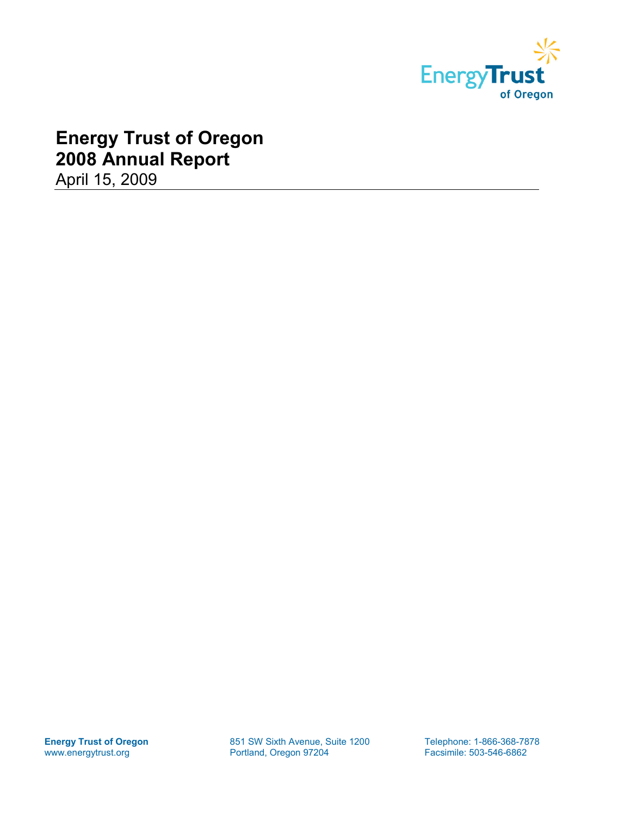

# **Energy Trust of Oregon 2008 Annual Report**

April 15, 2009

**Energy Trust of Oregon** 851 SW Sixth Avenue, Suite 1200 Telephone: 1-866-368-7878<br>
www.energytrust.org **Portland, Oregon 97204** Facsimile: 503-546-6862

Facsimile: 503-546-6862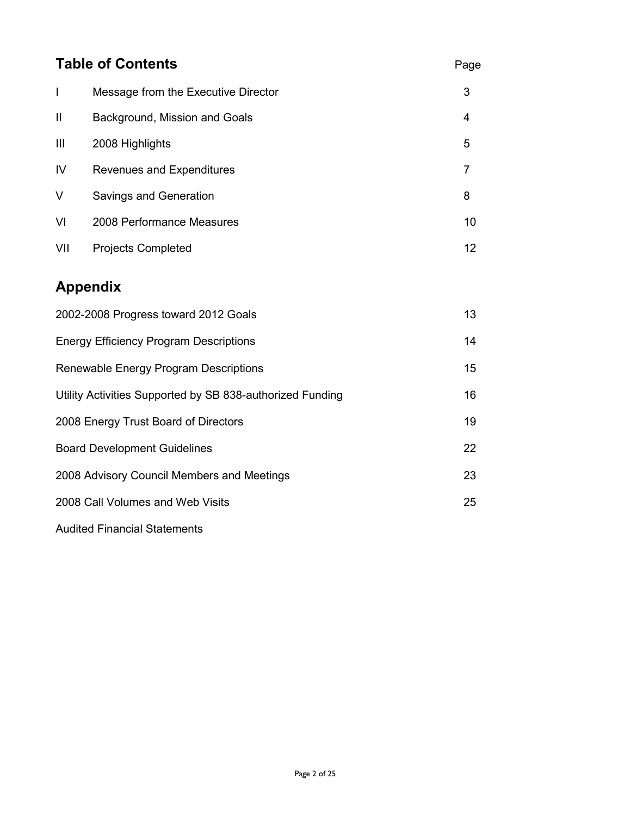| <b>Table of Contents</b>                   |                                                           |                |  |  |
|--------------------------------------------|-----------------------------------------------------------|----------------|--|--|
| $\mathbf{I}$                               | Message from the Executive Director                       | 3              |  |  |
| $\mathbf{II}$                              | Background, Mission and Goals                             | 4              |  |  |
| Ш                                          | 2008 Highlights                                           | 5              |  |  |
| IV                                         | Revenues and Expenditures                                 | $\overline{7}$ |  |  |
| V                                          | Savings and Generation                                    | 8              |  |  |
| VI                                         | 2008 Performance Measures                                 | 10             |  |  |
| VII                                        | <b>Projects Completed</b>                                 | 12             |  |  |
|                                            | <b>Appendix</b>                                           |                |  |  |
|                                            | 2002-2008 Progress toward 2012 Goals                      | 13             |  |  |
|                                            | <b>Energy Efficiency Program Descriptions</b>             | 14             |  |  |
|                                            | Renewable Energy Program Descriptions                     | 15             |  |  |
|                                            | Utility Activities Supported by SB 838-authorized Funding | 16             |  |  |
| 2008 Energy Trust Board of Directors       |                                                           |                |  |  |
| <b>Board Development Guidelines</b>        |                                                           |                |  |  |
| 2008 Advisory Council Members and Meetings |                                                           |                |  |  |
| 2008 Call Volumes and Web Visits<br>25     |                                                           |                |  |  |
|                                            |                                                           |                |  |  |

Audited Financial Statements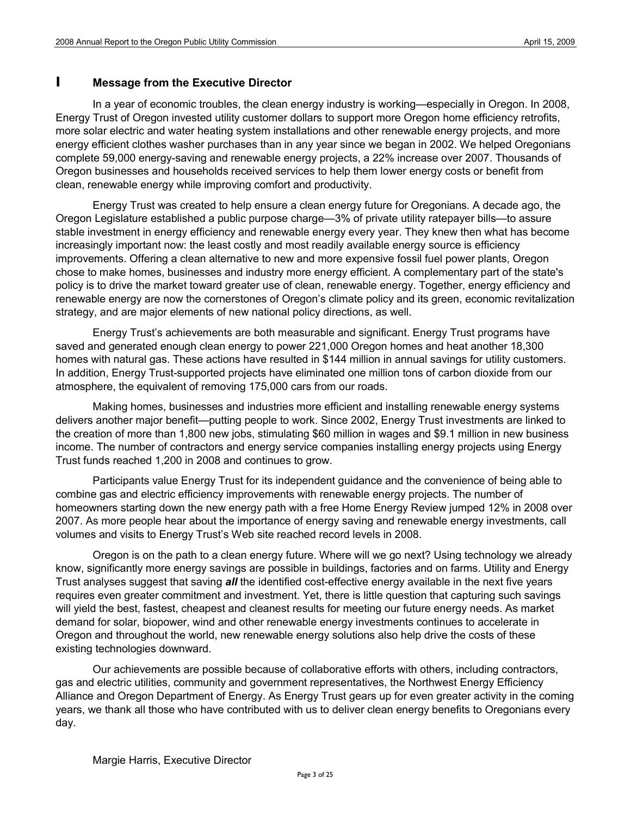### **I Message from the Executive Director**

In a year of economic troubles, the clean energy industry is working—especially in Oregon. In 2008, Energy Trust of Oregon invested utility customer dollars to support more Oregon home efficiency retrofits, more solar electric and water heating system installations and other renewable energy projects, and more energy efficient clothes washer purchases than in any year since we began in 2002. We helped Oregonians complete 59,000 energy-saving and renewable energy projects, a 22% increase over 2007. Thousands of Oregon businesses and households received services to help them lower energy costs or benefit from clean, renewable energy while improving comfort and productivity.

Energy Trust was created to help ensure a clean energy future for Oregonians. A decade ago, the Oregon Legislature established a public purpose charge—3% of private utility ratepayer bills—to assure stable investment in energy efficiency and renewable energy every year. They knew then what has become increasingly important now: the least costly and most readily available energy source is efficiency improvements. Offering a clean alternative to new and more expensive fossil fuel power plants, Oregon chose to make homes, businesses and industry more energy efficient. A complementary part of the state's policy is to drive the market toward greater use of clean, renewable energy. Together, energy efficiency and renewable energy are now the cornerstones of Oregon's climate policy and its green, economic revitalization strategy, and are major elements of new national policy directions, as well.

Energy Trust's achievements are both measurable and significant. Energy Trust programs have saved and generated enough clean energy to power 221,000 Oregon homes and heat another 18,300 homes with natural gas. These actions have resulted in \$144 million in annual savings for utility customers. In addition, Energy Trust-supported projects have eliminated one million tons of carbon dioxide from our atmosphere, the equivalent of removing 175,000 cars from our roads.

Making homes, businesses and industries more efficient and installing renewable energy systems delivers another major benefit—putting people to work. Since 2002, Energy Trust investments are linked to the creation of more than 1,800 new jobs, stimulating \$60 million in wages and \$9.1 million in new business income. The number of contractors and energy service companies installing energy projects using Energy Trust funds reached 1,200 in 2008 and continues to grow.

Participants value Energy Trust for its independent guidance and the convenience of being able to combine gas and electric efficiency improvements with renewable energy projects. The number of homeowners starting down the new energy path with a free Home Energy Review jumped 12% in 2008 over 2007. As more people hear about the importance of energy saving and renewable energy investments, call volumes and visits to Energy Trust's Web site reached record levels in 2008.

Oregon is on the path to a clean energy future. Where will we go next? Using technology we already know, significantly more energy savings are possible in buildings, factories and on farms. Utility and Energy Trust analyses suggest that saving *all* the identified cost-effective energy available in the next five years requires even greater commitment and investment. Yet, there is little question that capturing such savings will yield the best, fastest, cheapest and cleanest results for meeting our future energy needs. As market demand for solar, biopower, wind and other renewable energy investments continues to accelerate in Oregon and throughout the world, new renewable energy solutions also help drive the costs of these existing technologies downward.

Our achievements are possible because of collaborative efforts with others, including contractors, gas and electric utilities, community and government representatives, the Northwest Energy Efficiency Alliance and Oregon Department of Energy. As Energy Trust gears up for even greater activity in the coming years, we thank all those who have contributed with us to deliver clean energy benefits to Oregonians every day.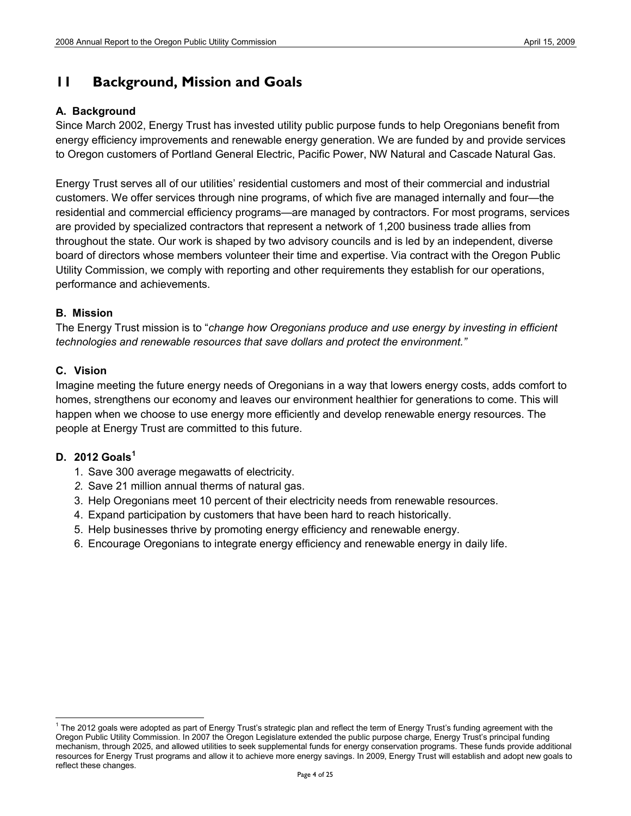### **11 Background, Mission and Goals**

### **A. Background**

Since March 2002, Energy Trust has invested utility public purpose funds to help Oregonians benefit from energy efficiency improvements and renewable energy generation. We are funded by and provide services to Oregon customers of Portland General Electric, Pacific Power, NW Natural and Cascade Natural Gas.

Energy Trust serves all of our utilities' residential customers and most of their commercial and industrial customers. We offer services through nine programs, of which five are managed internally and four—the residential and commercial efficiency programs—are managed by contractors. For most programs, services are provided by specialized contractors that represent a network of 1,200 business trade allies from throughout the state. Our work is shaped by two advisory councils and is led by an independent, diverse board of directors whose members volunteer their time and expertise. Via contract with the Oregon Public Utility Commission, we comply with reporting and other requirements they establish for our operations, performance and achievements.

### **B. Mission**

The Energy Trust mission is to "*change how Oregonians produce and use energy by investing in efficient technologies and renewable resources that save dollars and protect the environment."* 

### **C. Vision**

Imagine meeting the future energy needs of Oregonians in a way that lowers energy costs, adds comfort to homes, strengthens our economy and leaves our environment healthier for generations to come. This will happen when we choose to use energy more efficiently and develop renewable energy resources. The people at Energy Trust are committed to this future.

### **D. 2012 Goals[1](#page-3-0)**

- 1. Save 300 average megawatts of electricity.
- *2.* Save 21 million annual therms of natural gas.
- 3. Help Oregonians meet 10 percent of their electricity needs from renewable resources.
- 4. Expand participation by customers that have been hard to reach historically.
- 5. Help businesses thrive by promoting energy efficiency and renewable energy.
- 6. Encourage Oregonians to integrate energy efficiency and renewable energy in daily life.

<span id="page-3-0"></span><sup>&</sup>lt;sup>1</sup> The 2012 goals were adopted as part of Energy Trust's strategic plan and reflect the term of Energy Trust's funding agreement with the Oregon Public Utility Commission. In 2007 the Oregon Legislature extended the public purpose charge, Energy Trust's principal funding mechanism, through 2025, and allowed utilities to seek supplemental funds for energy conservation programs. These funds provide additional resources for Energy Trust programs and allow it to achieve more energy savings. In 2009, Energy Trust will establish and adopt new goals to reflect these changes.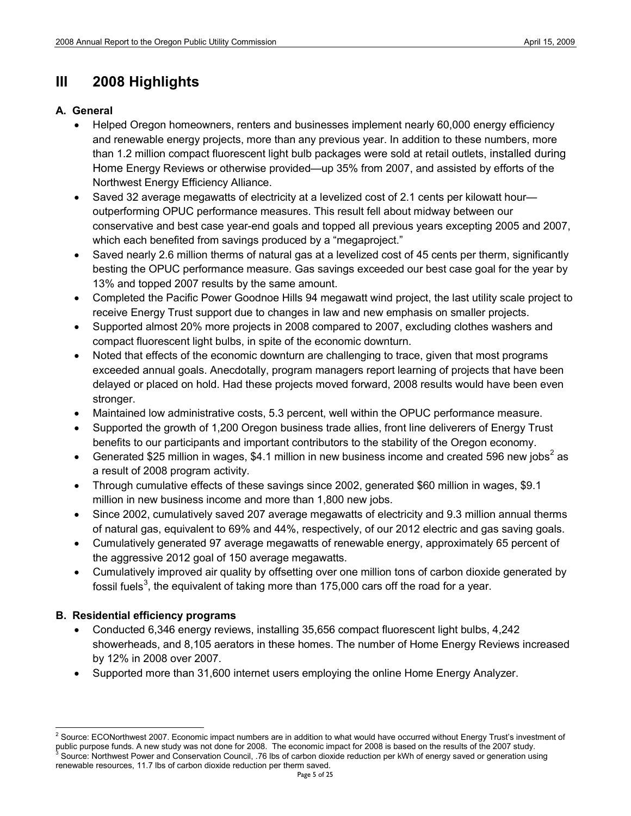# **III 2008 Highlights**

### **A. General**

- Helped Oregon homeowners, renters and businesses implement nearly 60,000 energy efficiency and renewable energy projects, more than any previous year. In addition to these numbers, more than 1.2 million compact fluorescent light bulb packages were sold at retail outlets, installed during Home Energy Reviews or otherwise provided—up 35% from 2007, and assisted by efforts of the Northwest Energy Efficiency Alliance.
- Saved 32 average megawatts of electricity at a levelized cost of 2.1 cents per kilowatt hour outperforming OPUC performance measures. This result fell about midway between our conservative and best case year-end goals and topped all previous years excepting 2005 and 2007, which each benefited from savings produced by a "megaproject."
- Saved nearly 2.6 million therms of natural gas at a levelized cost of 45 cents per therm, significantly besting the OPUC performance measure. Gas savings exceeded our best case goal for the year by 13% and topped 2007 results by the same amount.
- Completed the Pacific Power Goodnoe Hills 94 megawatt wind project, the last utility scale project to receive Energy Trust support due to changes in law and new emphasis on smaller projects.
- Supported almost 20% more projects in 2008 compared to 2007, excluding clothes washers and compact fluorescent light bulbs, in spite of the economic downturn.
- Noted that effects of the economic downturn are challenging to trace, given that most programs exceeded annual goals. Anecdotally, program managers report learning of projects that have been delayed or placed on hold. Had these projects moved forward, 2008 results would have been even stronger.
- Maintained low administrative costs, 5.3 percent, well within the OPUC performance measure.
- Supported the growth of 1,200 Oregon business trade allies, front line deliverers of Energy Trust benefits to our participants and important contributors to the stability of the Oregon economy.
- Generated \$[2](#page-4-0)5 million in wages, \$4.1 million in new business income and created 596 new jobs<sup>2</sup> as a result of 2008 program activity.
- Through cumulative effects of these savings since 2002, generated \$60 million in wages, \$9.1 million in new business income and more than 1,800 new jobs.
- Since 2002, cumulatively saved 207 average megawatts of electricity and 9.3 million annual therms of natural gas, equivalent to 69% and 44%, respectively, of our 2012 electric and gas saving goals.
- Cumulatively generated 97 average megawatts of renewable energy, approximately 65 percent of the aggressive 2012 goal of 150 average megawatts.
- Cumulatively improved air quality by offsetting over one million tons of carbon dioxide generated by fossil fuels $^3$  $^3$ , the equivalent of taking more than 175,000 cars off the road for a year.

### **B. Residential efficiency programs**

- Conducted 6,346 energy reviews, installing 35,656 compact fluorescent light bulbs, 4,242 showerheads, and 8,105 aerators in these homes. The number of Home Energy Reviews increased by 12% in 2008 over 2007.
- Supported more than 31,600 internet users employing the online Home Energy Analyzer.

<span id="page-4-1"></span><span id="page-4-0"></span><sup>&</sup>lt;sup>2</sup> Source: ECONorthwest 2007. Economic impact numbers are in addition to what would have occurred without Energy Trust's investment of public purpose funds. A new study was not done for 2008. The economic impact for 2008 is based on the results of the 2007 study.<br>Source: Northwest Power and Conservation Council, .76 lbs of carbon dioxide reduction per kWh renewable resources, 11.7 lbs of carbon dioxide reduction per therm saved.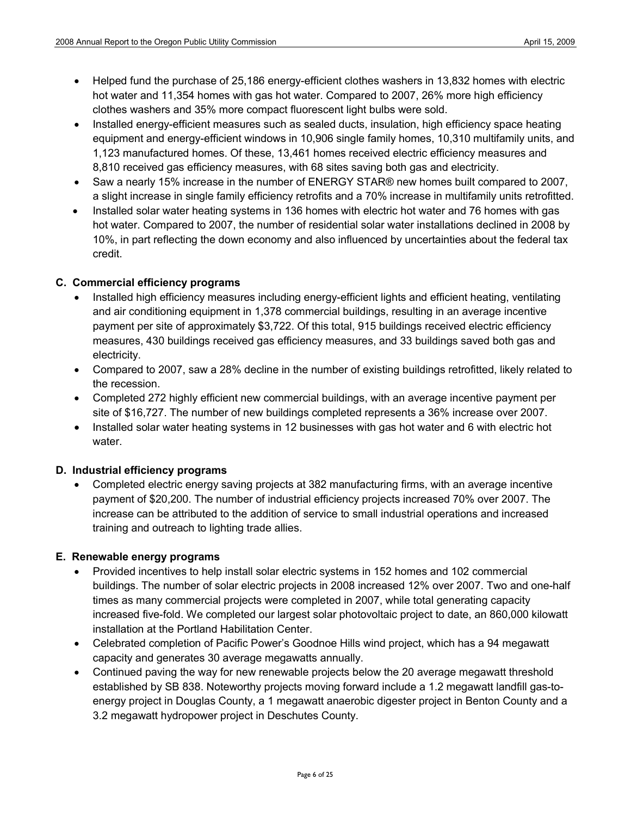- Helped fund the purchase of 25,186 energy-efficient clothes washers in 13,832 homes with electric hot water and 11,354 homes with gas hot water. Compared to 2007, 26% more high efficiency clothes washers and 35% more compact fluorescent light bulbs were sold.
- Installed energy-efficient measures such as sealed ducts, insulation, high efficiency space heating equipment and energy-efficient windows in 10,906 single family homes, 10,310 multifamily units, and 1,123 manufactured homes. Of these, 13,461 homes received electric efficiency measures and 8,810 received gas efficiency measures, with 68 sites saving both gas and electricity.
- Saw a nearly 15% increase in the number of ENERGY STAR® new homes built compared to 2007, a slight increase in single family efficiency retrofits and a 70% increase in multifamily units retrofitted.
- Installed solar water heating systems in 136 homes with electric hot water and 76 homes with gas hot water. Compared to 2007, the number of residential solar water installations declined in 2008 by 10%, in part reflecting the down economy and also influenced by uncertainties about the federal tax credit.

### **C. Commercial efficiency programs**

- Installed high efficiency measures including energy-efficient lights and efficient heating, ventilating and air conditioning equipment in 1,378 commercial buildings, resulting in an average incentive payment per site of approximately \$3,722. Of this total, 915 buildings received electric efficiency measures, 430 buildings received gas efficiency measures, and 33 buildings saved both gas and electricity.
- Compared to 2007, saw a 28% decline in the number of existing buildings retrofitted, likely related to the recession.
- Completed 272 highly efficient new commercial buildings, with an average incentive payment per site of \$16,727. The number of new buildings completed represents a 36% increase over 2007.
- Installed solar water heating systems in 12 businesses with gas hot water and 6 with electric hot water.

### **D. Industrial efficiency programs**

• Completed electric energy saving projects at 382 manufacturing firms, with an average incentive payment of \$20,200. The number of industrial efficiency projects increased 70% over 2007. The increase can be attributed to the addition of service to small industrial operations and increased training and outreach to lighting trade allies.

### **E. Renewable energy programs**

- Provided incentives to help install solar electric systems in 152 homes and 102 commercial buildings. The number of solar electric projects in 2008 increased 12% over 2007. Two and one-half times as many commercial projects were completed in 2007, while total generating capacity increased five-fold. We completed our largest solar photovoltaic project to date, an 860,000 kilowatt installation at the Portland Habilitation Center.
- Celebrated completion of Pacific Power's Goodnoe Hills wind project, which has a 94 megawatt capacity and generates 30 average megawatts annually.
- Continued paving the way for new renewable projects below the 20 average megawatt threshold established by SB 838. Noteworthy projects moving forward include a 1.2 megawatt landfill gas-toenergy project in Douglas County, a 1 megawatt anaerobic digester project in Benton County and a 3.2 megawatt hydropower project in Deschutes County.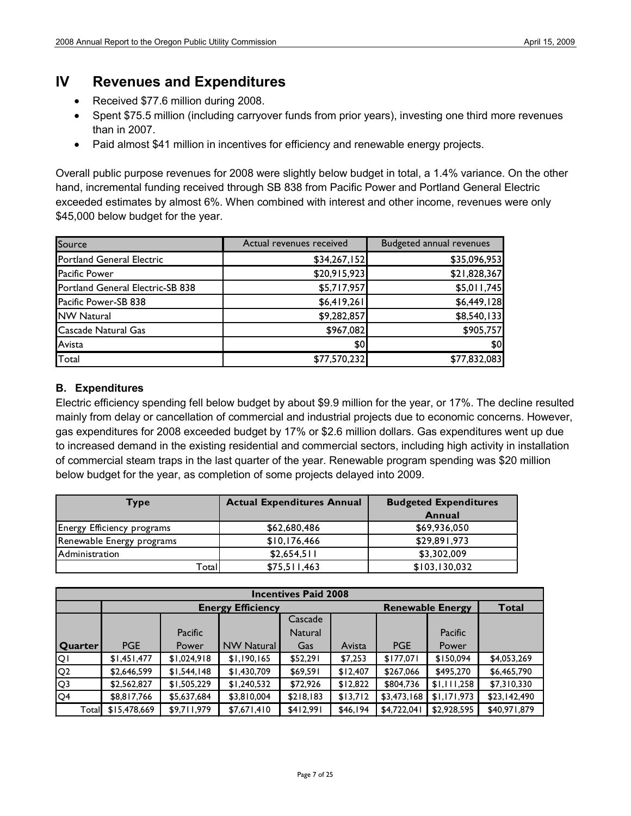### **IV Revenues and Expenditures**

- Received \$77.6 million during 2008.
- Spent \$75.5 million (including carryover funds from prior years), investing one third more revenues than in 2007.
- Paid almost \$41 million in incentives for efficiency and renewable energy projects.

Overall public purpose revenues for 2008 were slightly below budget in total, a 1.4% variance. On the other hand, incremental funding received through SB 838 from Pacific Power and Portland General Electric exceeded estimates by almost 6%. When combined with interest and other income, revenues were only \$45,000 below budget for the year.

| Source                           | Actual revenues received | <b>Budgeted annual revenues</b> |
|----------------------------------|--------------------------|---------------------------------|
| Portland General Electric        | \$34,267,152             | \$35,096,953                    |
| <b>Pacific Power</b>             | \$20,915,923             | \$21,828,367                    |
| Portland General Electric-SB 838 | \$5,717,957              | \$5,011,745                     |
| Pacific Power-SB 838             | \$6,419,261              | \$6,449,128                     |
| <b>NW Natural</b>                | \$9,282,857              | \$8,540,133                     |
| Cascade Natural Gas              | \$967,082                | \$905,757                       |
| Avista                           | \$0                      | \$0                             |
| Total                            | \$77,570,232             | \$77,832,083                    |

### **B. Expenditures**

Electric efficiency spending fell below budget by about \$9.9 million for the year, or 17%. The decline resulted mainly from delay or cancellation of commercial and industrial projects due to economic concerns. However, gas expenditures for 2008 exceeded budget by 17% or \$2.6 million dollars. Gas expenditures went up due to increased demand in the existing residential and commercial sectors, including high activity in installation of commercial steam traps in the last quarter of the year. Renewable program spending was \$20 million below budget for the year, as completion of some projects delayed into 2009.

| Type                       | <b>Actual Expenditures Annual</b> | <b>Budgeted Expenditures</b> |
|----------------------------|-----------------------------------|------------------------------|
|                            |                                   | Annual                       |
| Energy Efficiency programs | \$62,680,486                      | \$69,936,050                 |
| Renewable Energy programs  | \$10,176,466                      | \$29,891,973                 |
| Administration             | \$2,654,511                       | \$3,302,009                  |
| Total                      | \$75,511,463                      | \$103,130,032                |

| <b>Incentives Paid 2008</b> |              |             |                          |                |          |                         |              |              |  |
|-----------------------------|--------------|-------------|--------------------------|----------------|----------|-------------------------|--------------|--------------|--|
|                             |              |             | <b>Energy Efficiency</b> |                |          | <b>Renewable Energy</b> |              | Total        |  |
|                             |              |             |                          | Cascade        |          |                         |              |              |  |
|                             |              | Pacific     |                          | <b>Natural</b> |          |                         | Pacific      |              |  |
| Quarter                     | <b>PGE</b>   | Power       | <b>NW Natural</b>        | Gas            | Avista   | <b>PGE</b>              | <b>Power</b> |              |  |
| <b>QI</b>                   | \$1,451,477  | \$1,024,918 | \$1,190,165              | \$52,291       | \$7,253  | \$177,071               | \$150,094    | \$4,053,269  |  |
| Q <sub>2</sub>              | \$2,646,599  | \$1,544,148 | \$1,430,709              | \$69,591       | \$12,407 | \$267,066               | \$495,270    | \$6,465,790  |  |
| IQ <sub>3</sub>             | \$2,562,827  | \$1,505,229 | \$1,240,532              | \$72,926       | \$12,822 | \$804,736               | \$1,111,258  | \$7,310,330  |  |
| $\overline{Q4}$             | \$8,817,766  | \$5,637,684 | \$3,810,004              | \$218,183      | \$13,712 | \$3,473,168             | \$1,171,973  | \$23,142,490 |  |
| Totall                      | \$15,478,669 | \$9,711,979 | \$7,671,410              | \$412,991      | \$46,194 | \$4,722,041             | \$2,928,595  | \$40,971,879 |  |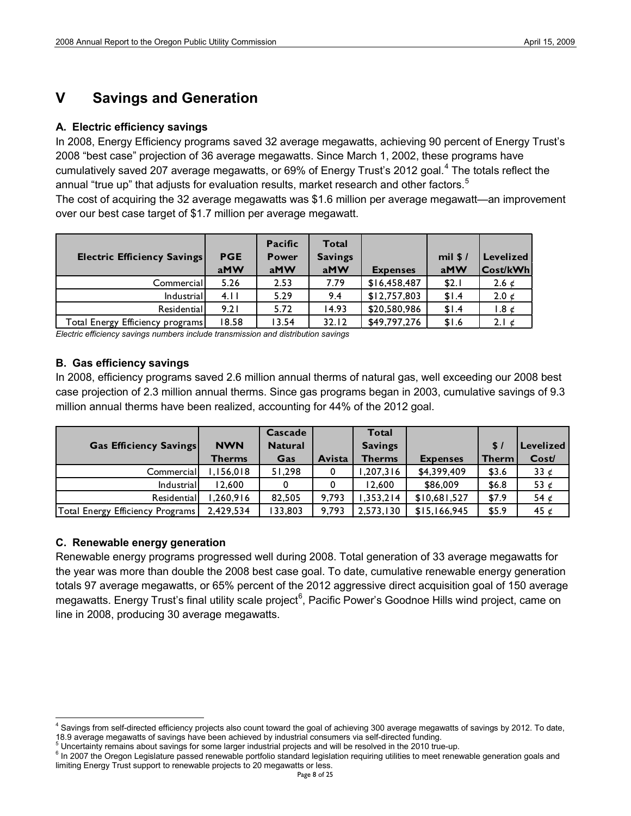## **V Savings and Generation**

### **A. Electric efficiency savings**

In 2008, Energy Efficiency programs saved 32 average megawatts, achieving 90 percent of Energy Trust's 2008 "best case" projection of 36 average megawatts. Since March 1, 2002, these programs have cumulatively saved 207 average megawatts, or 69% of Energy Trust's 2012 goal. [4](#page-7-0) The totals reflect the annual "true up" that adjusts for evaluation results, market research and other factors.<sup>[5](#page-7-1)</sup>

The cost of acquiring the 32 average megawatts was \$1.6 million per average megawatt—an improvement over our best case target of \$1.7 million per average megawatt.

| <b>Electric Efficiency Savings</b> | <b>PGE</b><br>aMW | <b>Pacific</b><br><b>Power</b><br>aMW | <b>Total</b><br><b>Savings</b><br>aMW | <b>Expenses</b> | $mil$ \$ /<br>aMW | Levelized<br> Cost/kWh |
|------------------------------------|-------------------|---------------------------------------|---------------------------------------|-----------------|-------------------|------------------------|
| Commercial                         | 5.26              | 2.53                                  | 7.79                                  | \$16,458,487    | \$2.1             | 2.6 $\epsilon$         |
| Industrial                         | 4.11              | 5.29                                  | 9.4                                   | \$12,757,803    | \$1.4             | 2.0 $\epsilon$         |
| Residentiall                       | 9.21              | 5.72                                  | 14.93                                 | \$20,580,986    | \$1.4             | $1.8 \notin$           |
| Total Energy Efficiency programs   | 18.58             | 13.54                                 | 32.12                                 | \$49,797,276    | \$1.6             | 2.1 $\epsilon$         |

*Electric efficiency savings numbers include transmission and distribution savings*

### **B. Gas efficiency savings**

In 2008, efficiency programs saved 2.6 million annual therms of natural gas, well exceeding our 2008 best case projection of 2.3 million annual therms. Since gas programs began in 2003, cumulative savings of 9.3 million annual therms have been realized, accounting for 44% of the 2012 goal.

|                                  |               | Cascade        |        | <b>Total</b>   |                 |              |               |
|----------------------------------|---------------|----------------|--------|----------------|-----------------|--------------|---------------|
| <b>Gas Efficiency Savings</b>    | <b>NWN</b>    | <b>Natural</b> |        | <b>Savings</b> |                 | \$/          | Levelized     |
|                                  | <b>Therms</b> | Gas            | Avista | <b>Therms</b>  | <b>Expenses</b> | <b>Therm</b> | Cost/         |
| Commercial                       | ,156,018      | 51,298         | 0      | 1,207,316      | \$4,399,409     | \$3.6        | 33 $\epsilon$ |
| Industrial                       | 12.600        |                |        | 12.600         | \$86,009        | \$6.8        | 53 $\epsilon$ |
| Residential                      | .260.916      | 82.505         | 9.793  | 1,353,214      | \$10,681,527    | \$7.9        | 54 $\epsilon$ |
| Total Energy Efficiency Programs | 2,429,534     | 133,803        | 9.793  | 2,573,130      | \$15,166,945    | \$5.9        | 45 $\epsilon$ |

### **C. Renewable energy generation**

Renewable energy programs progressed well during 2008. Total generation of 33 average megawatts for the year was more than double the 2008 best case goal. To date, cumulative renewable energy generation totals 97 average megawatts, or 65% percent of the 2012 aggressive direct acquisition goal of 150 average megawatts. Energy Trust's final utility scale project<sup>[6](#page-7-2)</sup>, Pacific Power's Goodnoe Hills wind project, came on line in 2008, producing 30 average megawatts.

<span id="page-7-0"></span><sup>&</sup>lt;sup>4</sup> Savings from self-directed efficiency projects also count toward the goal of achieving 300 average megawatts of savings by 2012. To date,<br>18.9 average megawatts of savings have been achieved by industrial consumers via

<span id="page-7-2"></span><span id="page-7-1"></span>

<sup>&</sup>lt;sup>5</sup> Uncertainty remains about savings for some larger industrial projects and will be resolved in the 2010 true-up.<br><sup>6</sup> In 2007 the Oregon Legislature passed renewable portfolio standard legislation requiring utilities to limiting Energy Trust support to renewable projects to 20 megawatts or less.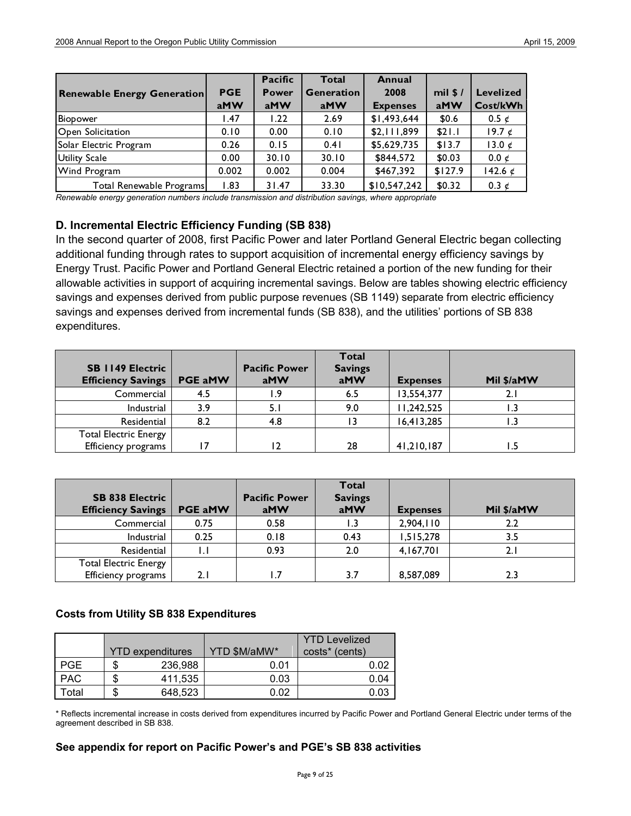|                                    |            | Pacific      | Total             | <b>Annual</b>   |          |                  |
|------------------------------------|------------|--------------|-------------------|-----------------|----------|------------------|
| <b>Renewable Energy Generation</b> | <b>PGE</b> | <b>Power</b> | <b>Generation</b> | 2008            | mil $$/$ | <b>Levelized</b> |
|                                    | aMW        | aMW          | aMW               | <b>Expenses</b> | aMW      | Cost/kWh         |
| Biopower                           | .47        | 1.22         | 2.69              | \$1,493,644     | \$0.6    | 0.5 $\epsilon$   |
| <b>O</b> pen Solicitation          | 0.10       | 0.00         | 0.10              | \$2,111,899     | \$21.1   | 19.7 $\phi$      |
| Solar Electric Program             | 0.26       | 0.15         | 0.41              | \$5,629,735     | \$13.7   | 13.0 $\epsilon$  |
| Utility Scale                      | 0.00       | 30.10        | 30.10             | \$844,572       | \$0.03   | $0.0 \notin$     |
| <b>Wind Program</b>                | 0.002      | 0.002        | 0.004             | \$467,392       | \$127.9  | 142.6 $\epsilon$ |
| Total Renewable Programs           | .83        | 31.47        | 33.30             | \$10,547,242    | \$0.32   | 0.3 $\epsilon$   |

*Renewable energy generation numbers include transmission and distribution savings, where appropriate*

### **D. Incremental Electric Efficiency Funding (SB 838)**

In the second quarter of 2008, first Pacific Power and later Portland General Electric began collecting additional funding through rates to support acquisition of incremental energy efficiency savings by Energy Trust. Pacific Power and Portland General Electric retained a portion of the new funding for their allowable activities in support of acquiring incremental savings. Below are tables showing electric efficiency savings and expenses derived from public purpose revenues (SB 1149) separate from electric efficiency savings and expenses derived from incremental funds (SB 838), and the utilities' portions of SB 838 expenditures.

| <b>SB 1149 Electric</b><br><b>Efficiency Savings</b> | <b>PGE aMW</b> | <b>Pacific Power</b><br>aMW | <b>Total</b><br><b>Savings</b><br>aMW | <b>Expenses</b> | Mil \$/aMW |
|------------------------------------------------------|----------------|-----------------------------|---------------------------------------|-----------------|------------|
| Commercial                                           | 4.5            | و. ا                        | 6.5                                   | 13,554,377      | 2.1        |
| Industrial                                           | 3.9            | 5.                          | 9.0                                   | 1,242,525       |            |
| Residential                                          | 8.2            | 4.8                         |                                       | 16,413,285      |            |
| <b>Total Electric Energy</b>                         |                |                             |                                       |                 |            |
| Efficiency programs                                  |                |                             | 28                                    | 41,210,187      |            |

| <b>SB 838 Electric</b><br><b>Efficiency Savings</b> | <b>PGE aMW</b> | <b>Pacific Power</b><br>aMW | Total<br><b>Savings</b><br>aMW | <b>Expenses</b> | Mil \$/aMW |
|-----------------------------------------------------|----------------|-----------------------------|--------------------------------|-----------------|------------|
| Commercial                                          | 0.75           | 0.58                        |                                | 2,904,110       | 2.2        |
| Industrial                                          | 0.25           | 0.18                        | 0.43                           | 1,515,278       | 3.5        |
| Residential                                         | I.I            | 0.93                        | 2.0                            | 4,167,701       |            |
| <b>Total Electric Energy</b>                        |                |                             |                                |                 |            |
| Efficiency programs                                 | 2.1            | $\cdot$ 7                   | 3.7                            | 8,587,089       | 2.3        |

### **Costs from Utility SB 838 Expenditures**

|            |                         |              | <b>YTD Levelized</b>       |
|------------|-------------------------|--------------|----------------------------|
|            | <b>YTD</b> expenditures | YTD \$M/aMW* | costs <sup>*</sup> (cents) |
| <b>PGE</b> | 236,988                 | 0.01         | 0.02                       |
| <b>PAC</b> | 411,535                 | 0.03         | 0.04                       |
| otal       | 648,523                 | 0.02         | 0.03                       |

\* Reflects incremental increase in costs derived from expenditures incurred by Pacific Power and Portland General Electric under terms of the agreement described in SB 838.

### **See appendix for report on Pacific Power's and PGE's SB 838 activities**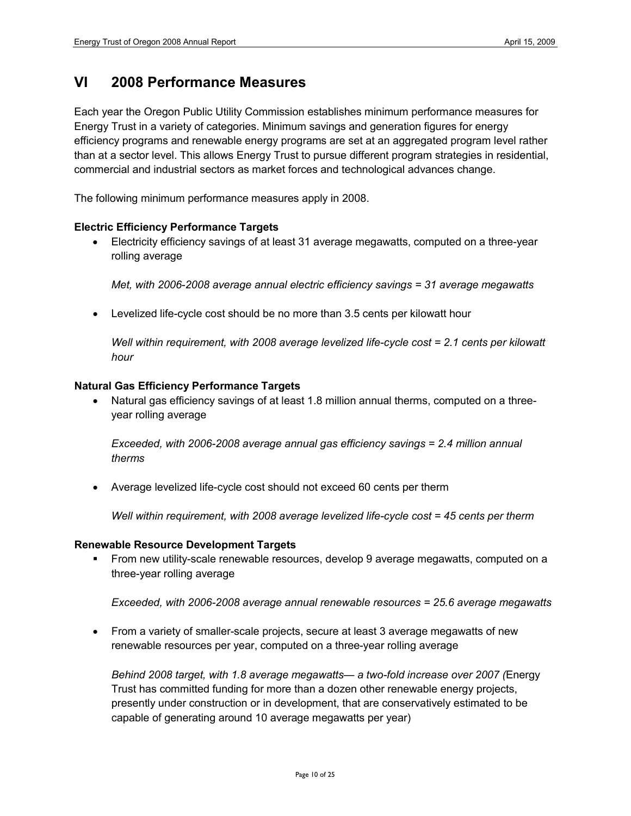### **VI 2008 Performance Measures**

Each year the Oregon Public Utility Commission establishes minimum performance measures for Energy Trust in a variety of categories. Minimum savings and generation figures for energy efficiency programs and renewable energy programs are set at an aggregated program level rather than at a sector level. This allows Energy Trust to pursue different program strategies in residential, commercial and industrial sectors as market forces and technological advances change.

The following minimum performance measures apply in 2008.

### **Electric Efficiency Performance Targets**

• Electricity efficiency savings of at least 31 average megawatts, computed on a three-year rolling average

*Met, with 2006*-*2008 average annual electric efficiency savings = 31 average megawatts* 

• Levelized life-cycle cost should be no more than 3.5 cents per kilowatt hour

*Well within requirement, with 2008 average levelized life-cycle cost = 2.1 cents per kilowatt hour*

#### **Natural Gas Efficiency Performance Targets**

• Natural gas efficiency savings of at least 1.8 million annual therms, computed on a threeyear rolling average

*Exceeded, with 2006-2008 average annual gas efficiency savings = 2.4 million annual therms*

• Average levelized life-cycle cost should not exceed 60 cents per therm

*Well within requirement, with 2008 average levelized life-cycle cost = 45 cents per therm*

### **Renewable Resource Development Targets**

 From new utility-scale renewable resources, develop 9 average megawatts, computed on a three-year rolling average

*Exceeded, with 2006-2008 average annual renewable resources = 25.6 average megawatts* 

• From a variety of smaller-scale projects, secure at least 3 average megawatts of new renewable resources per year, computed on a three-year rolling average

*Behind 2008 target, with 1.8 average megawatts— a two-fold increase over 2007 (*Energy Trust has committed funding for more than a dozen other renewable energy projects, presently under construction or in development, that are conservatively estimated to be capable of generating around 10 average megawatts per year)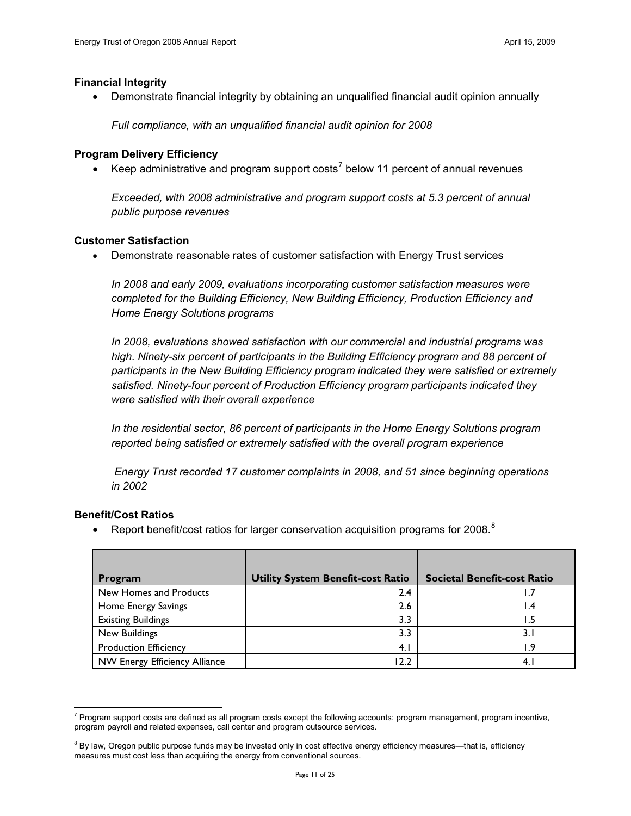### **Financial Integrity**

• Demonstrate financial integrity by obtaining an unqualified financial audit opinion annually

*Full compliance, with an unqualified financial audit opinion for 2008*

#### **Program Delivery Efficiency**

• Keep administrative and program support costs<sup>[7](#page-10-0)</sup> below 11 percent of annual revenues

*Exceeded, with 2008 administrative and program support costs at 5.3 percent of annual public purpose revenues*

#### **Customer Satisfaction**

• Demonstrate reasonable rates of customer satisfaction with Energy Trust services

*In 2008 and early 2009, evaluations incorporating customer satisfaction measures were completed for the Building Efficiency, New Building Efficiency, Production Efficiency and Home Energy Solutions programs*

*In 2008, evaluations showed satisfaction with our commercial and industrial programs was*  high. Ninety-six percent of participants in the Building Efficiency program and 88 percent of *participants in the New Building Efficiency program indicated they were satisfied or extremely satisfied. Ninety-four percent of Production Efficiency program participants indicated they were satisfied with their overall experience*

*In the residential sector, 86 percent of participants in the Home Energy Solutions program reported being satisfied or extremely satisfied with the overall program experience* 

*Energy Trust recorded 17 customer complaints in 2008, and 51 since beginning operations in 2002*

### **Benefit/Cost Ratios**

• Report benefit/cost ratios for larger conservation acquisition programs for 200[8](#page-10-1).<sup>8</sup>

| Program                       | <b>Utility System Benefit-cost Ratio</b> | <b>Societal Benefit-cost Ratio</b> |
|-------------------------------|------------------------------------------|------------------------------------|
| New Homes and Products        | 2.4                                      |                                    |
| Home Energy Savings           | 2.6                                      | .4                                 |
| <b>Existing Buildings</b>     | 3.3                                      |                                    |
| New Buildings                 | 3.3                                      | 3. I                               |
| <b>Production Efficiency</b>  | 4.1                                      | ∣.9                                |
| NW Energy Efficiency Alliance | 12.2                                     |                                    |

<span id="page-10-0"></span> $<sup>7</sup>$  Program support costs are defined as all program costs except the following accounts: program management, program incentive,</sup> program payroll and related expenses, call center and program outsource services.

<span id="page-10-1"></span><sup>&</sup>lt;sup>8</sup> By law, Oregon public purpose funds may be invested only in cost effective energy efficiency measures—that is, efficiency measures must cost less than acquiring the energy from conventional sources.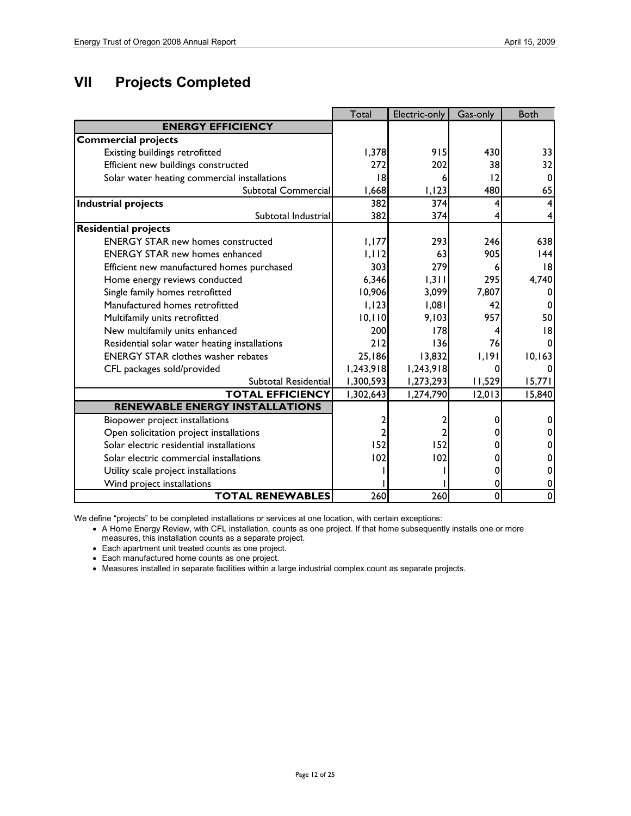# **VII Projects Completed**

|                                               | Total     | Electric-only | Gas-only | <b>Both</b> |
|-----------------------------------------------|-----------|---------------|----------|-------------|
| <b>ENERGY EFFICIENCY</b>                      |           |               |          |             |
| <b>Commercial projects</b>                    |           |               |          |             |
| Existing buildings retrofitted                | 1,378     | 915           | 430      | 33          |
| Efficient new buildings constructed           | 272       | 202           | 38       | 32          |
| Solar water heating commercial installations  | 18        | 6             | 12       |             |
| Subtotal Commercial                           | 1,668     | 1,123         | 480      | 65          |
| <b>Industrial projects</b>                    | 382       | 374           |          |             |
| Subtotal Industrial                           | 382       | 374           |          |             |
| <b>Residential projects</b>                   |           |               |          |             |
| <b>ENERGY STAR new homes constructed</b>      | 1.177     | 293           | 246      | 638         |
| <b>ENERGY STAR new homes enhanced</b>         | 1,112     | 63            | 905      | 44          |
| Efficient new manufactured homes purchased    | 303       | 279           | 6        | 8           |
| Home energy reviews conducted                 | 6,346     | 1,311         | 295      | 4,740       |
| Single family homes retrofitted               | 10,906    | 3,099         | 7,807    |             |
| Manufactured homes retrofitted                | 1,123     | 1,081         | 42       |             |
| Multifamily units retrofitted                 | 10, 110   | 9,103         | 957      | 50          |
| New multifamily units enhanced                | 200       | 178           | 4        | 18          |
| Residential solar water heating installations | 212       | 136           | 76       |             |
| <b>ENERGY STAR clothes washer rebates</b>     | 25,186    | 13,832        | 1,191    | 10,163      |
| CFL packages sold/provided                    | 1,243,918 | 1,243,918     | O        |             |
| Subtotal Residential                          | 1,300,593 | 1,273,293     | 11,529   | 15,771      |
| <b>TOTAL EFFICIENCY</b>                       | 1,302,643 | 1,274,790     | 12,013   | 15,840      |
| <b>RENEWABLE ENERGY INSTALLATIONS</b>         |           |               |          |             |
| Biopower project installations                |           |               |          |             |
| Open solicitation project installations       |           |               |          |             |
| Solar electric residential installations      | 152       | 152           |          |             |
| Solar electric commercial installations       | 102       | 102           |          |             |
| Utility scale project installations           |           |               |          |             |
| Wind project installations                    |           |               | 0        | O           |
| <b>TOTAL RENEWABLES</b>                       | 260       | 260           | 0        | 0           |

We define "projects" to be completed installations or services at one location, with certain exceptions:

• A Home Energy Review, with CFL installation, counts as one project. If that home subsequently installs one or more measures, this installation counts as a separate project.

• Each apartment unit treated counts as one project.

• Each manufactured home counts as one project.

• Measures installed in separate facilities within a large industrial complex count as separate projects.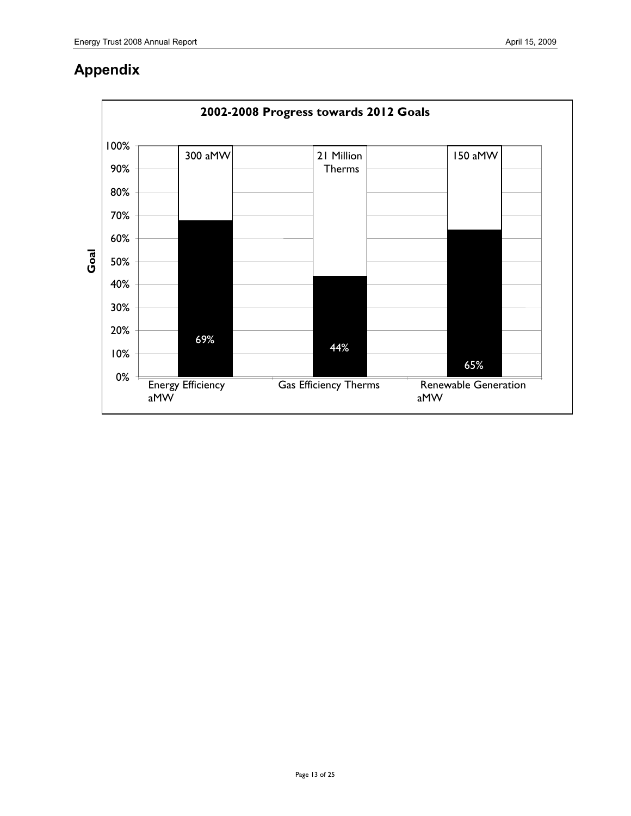## **Appendix**

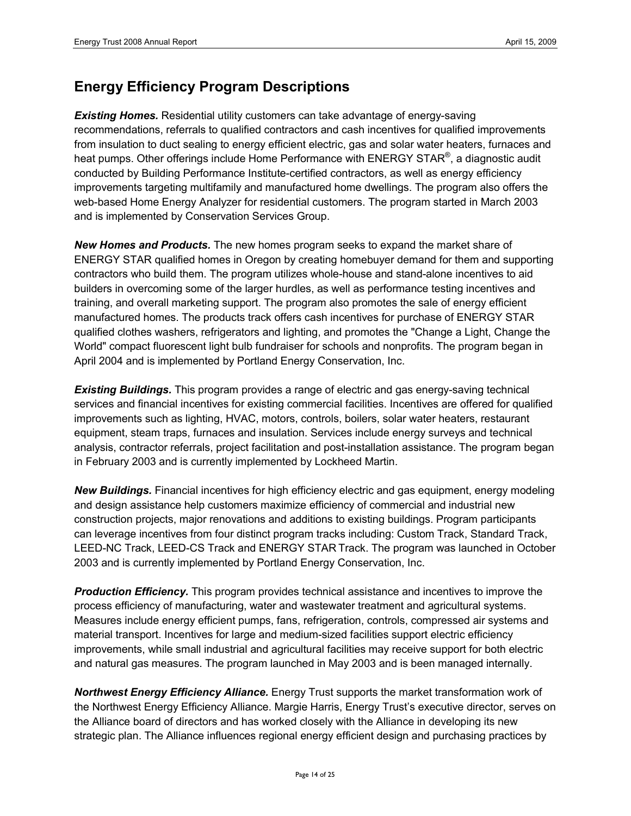## **Energy Efficiency Program Descriptions**

**Existing Homes.** Residential utility customers can take advantage of energy-saving recommendations, referrals to qualified contractors and cash incentives for qualified improvements from insulation to duct sealing to energy efficient electric, gas and solar water heaters, furnaces and heat pumps. Other offerings include Home Performance with ENERGY STAR<sup>®</sup>, a diagnostic audit conducted by Building Performance Institute-certified contractors, as well as energy efficiency improvements targeting multifamily and manufactured home dwellings. The program also offers the web-based Home Energy Analyzer for residential customers. The program started in March 2003 and is implemented by Conservation Services Group.

*New Homes and Products.* The new homes program seeks to expand the market share of ENERGY STAR qualified homes in Oregon by creating homebuyer demand for them and supporting contractors who build them. The program utilizes whole-house and stand-alone incentives to aid builders in overcoming some of the larger hurdles, as well as performance testing incentives and training, and overall marketing support. The program also promotes the sale of energy efficient manufactured homes. The products track offers cash incentives for purchase of ENERGY STAR qualified clothes washers, refrigerators and lighting, and promotes the "Change a Light, Change the World" compact fluorescent light bulb fundraiser for schools and nonprofits. The program began in April 2004 and is implemented by Portland Energy Conservation, Inc.

*Existing Buildings.* This program provides a range of electric and gas energy-saving technical services and financial incentives for existing commercial facilities. Incentives are offered for qualified improvements such as lighting, HVAC, motors, controls, boilers, solar water heaters, restaurant equipment, steam traps, furnaces and insulation. Services include energy surveys and technical analysis, contractor referrals, project facilitation and post-installation assistance. The program began in February 2003 and is currently implemented by Lockheed Martin.

*New Buildings.* Financial incentives for high efficiency electric and gas equipment, energy modeling and design assistance help customers maximize efficiency of commercial and industrial new construction projects, major renovations and additions to existing buildings. Program participants can leverage incentives from four distinct program tracks including: Custom Track, Standard Track, LEED-NC Track, LEED-CS Track and ENERGY STAR Track. The program was launched in October 2003 and is currently implemented by Portland Energy Conservation, Inc.

*Production Efficiency.* This program provides technical assistance and incentives to improve the process efficiency of manufacturing, water and wastewater treatment and agricultural systems. Measures include energy efficient pumps, fans, refrigeration, controls, compressed air systems and material transport. Incentives for large and medium-sized facilities support electric efficiency improvements, while small industrial and agricultural facilities may receive support for both electric and natural gas measures. The program launched in May 2003 and is been managed internally.

*Northwest Energy Efficiency Alliance.* Energy Trust supports the market transformation work of the Northwest Energy Efficiency Alliance. Margie Harris, Energy Trust's executive director, serves on the Alliance board of directors and has worked closely with the Alliance in developing its new strategic plan. The Alliance influences regional energy efficient design and purchasing practices by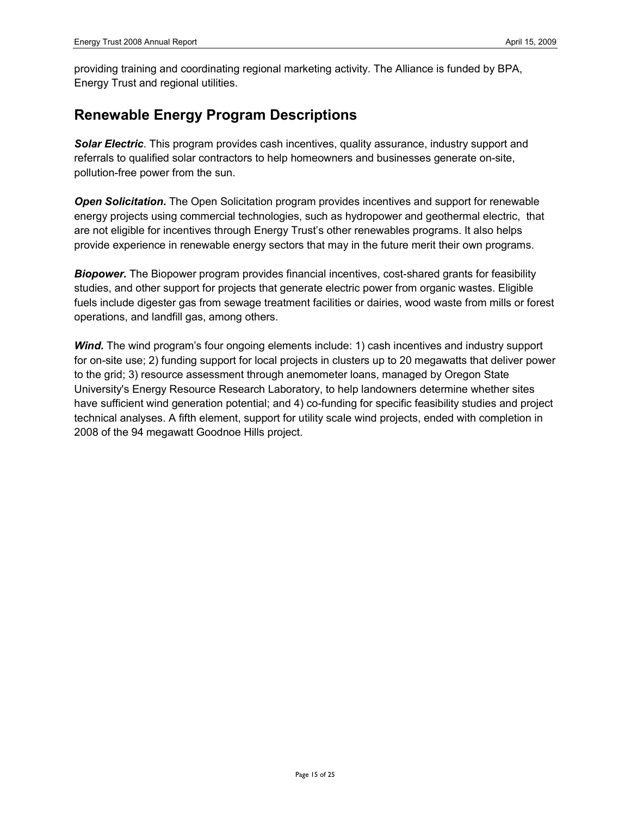providing training and coordinating regional marketing activity. The Alliance is funded by BPA, Energy Trust and regional utilities.

## **Renewable Energy Program Descriptions**

*Solar Electric*. This program provides cash incentives, quality assurance, industry support and referrals to qualified solar contractors to help homeowners and businesses generate on-site, pollution-free power from the sun.

**Open Solicitation.** The Open Solicitation program provides incentives and support for renewable energy projects using commercial technologies, such as hydropower and geothermal electric, that are not eligible for incentives through Energy Trust's other renewables programs. It also helps provide experience in renewable energy sectors that may in the future merit their own programs.

**Biopower.** The Biopower program provides financial incentives, cost-shared grants for feasibility studies, and other support for projects that generate electric power from organic wastes. Eligible fuels include digester gas from sewage treatment facilities or dairies, wood waste from mills or forest operations, and landfill gas, among others.

**Wind.** The wind program's four ongoing elements include: 1) cash incentives and industry support for on-site use; 2) funding support for local projects in clusters up to 20 megawatts that deliver power to the grid; 3) resource assessment through anemometer loans, managed by Oregon State University's Energy Resource Research Laboratory, to help landowners determine whether sites have sufficient wind generation potential; and 4) co-funding for specific feasibility studies and project technical analyses. A fifth element, support for utility scale wind projects, ended with completion in 2008 of the 94 megawatt Goodnoe Hills project.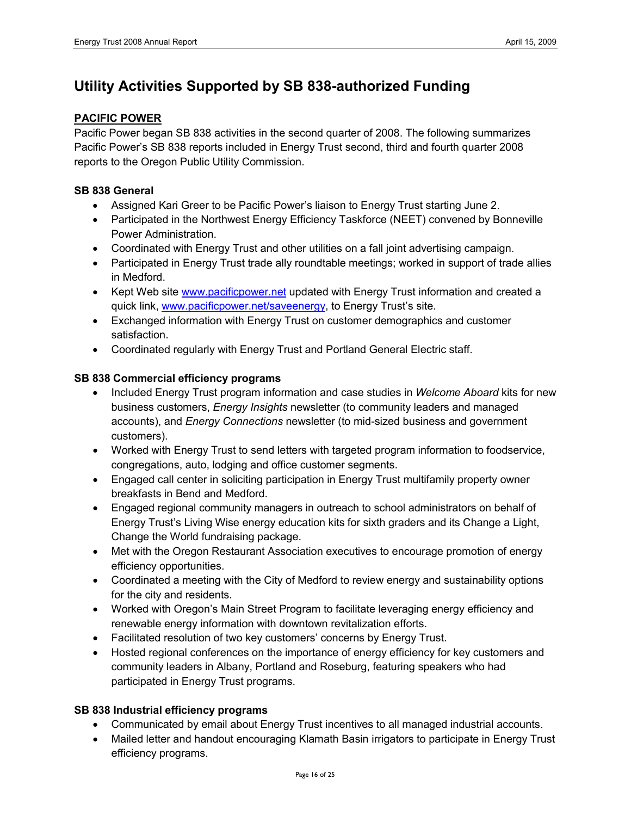## **Utility Activities Supported by SB 838-authorized Funding**

### **PACIFIC POWER**

Pacific Power began SB 838 activities in the second quarter of 2008. The following summarizes Pacific Power's SB 838 reports included in Energy Trust second, third and fourth quarter 2008 reports to the Oregon Public Utility Commission.

### **SB 838 General**

- Assigned Kari Greer to be Pacific Power's liaison to Energy Trust starting June 2.
- Participated in the Northwest Energy Efficiency Taskforce (NEET) convened by Bonneville Power Administration.
- Coordinated with Energy Trust and other utilities on a fall joint advertising campaign.
- Participated in Energy Trust trade ally roundtable meetings; worked in support of trade allies in Medford.
- Kept Web site [www.pacificpower.net](http://www.pacificpower.net/) updated with Energy Trust information and created a quick link, [www.pacificpower.net/saveenergy,](http://www.pacificpower.net/saveenergy) to Energy Trust's site.
- Exchanged information with Energy Trust on customer demographics and customer satisfaction.
- Coordinated regularly with Energy Trust and Portland General Electric staff.

### **SB 838 Commercial efficiency programs**

- Included Energy Trust program information and case studies in *Welcome Aboard* kits for new business customers, *Energy Insights* newsletter (to community leaders and managed accounts), and *Energy Connections* newsletter (to mid-sized business and government customers).
- Worked with Energy Trust to send letters with targeted program information to foodservice, congregations, auto, lodging and office customer segments.
- Engaged call center in soliciting participation in Energy Trust multifamily property owner breakfasts in Bend and Medford.
- Engaged regional community managers in outreach to school administrators on behalf of Energy Trust's Living Wise energy education kits for sixth graders and its Change a Light, Change the World fundraising package.
- Met with the Oregon Restaurant Association executives to encourage promotion of energy efficiency opportunities.
- Coordinated a meeting with the City of Medford to review energy and sustainability options for the city and residents.
- Worked with Oregon's Main Street Program to facilitate leveraging energy efficiency and renewable energy information with downtown revitalization efforts.
- Facilitated resolution of two key customers' concerns by Energy Trust.
- Hosted regional conferences on the importance of energy efficiency for key customers and community leaders in Albany, Portland and Roseburg, featuring speakers who had participated in Energy Trust programs.

### **SB 838 Industrial efficiency programs**

- Communicated by email about Energy Trust incentives to all managed industrial accounts.
- Mailed letter and handout encouraging Klamath Basin irrigators to participate in Energy Trust efficiency programs.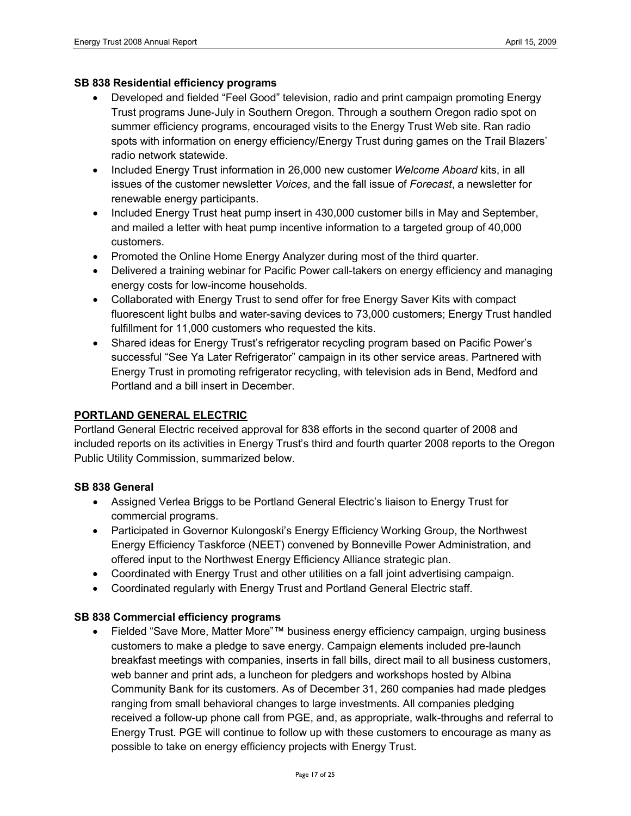### **SB 838 Residential efficiency programs**

- Developed and fielded "Feel Good" television, radio and print campaign promoting Energy Trust programs June-July in Southern Oregon. Through a southern Oregon radio spot on summer efficiency programs, encouraged visits to the Energy Trust Web site. Ran radio spots with information on energy efficiency/Energy Trust during games on the Trail Blazers' radio network statewide.
- Included Energy Trust information in 26,000 new customer *Welcome Aboard* kits, in all issues of the customer newsletter *Voices*, and the fall issue of *Forecast*, a newsletter for renewable energy participants.
- Included Energy Trust heat pump insert in 430,000 customer bills in May and September, and mailed a letter with heat pump incentive information to a targeted group of 40,000 customers.
- Promoted the Online Home Energy Analyzer during most of the third quarter.
- Delivered a training webinar for Pacific Power call-takers on energy efficiency and managing energy costs for low-income households.
- Collaborated with Energy Trust to send offer for free Energy Saver Kits with compact fluorescent light bulbs and water-saving devices to 73,000 customers; Energy Trust handled fulfillment for 11,000 customers who requested the kits.
- Shared ideas for Energy Trust's refrigerator recycling program based on Pacific Power's successful "See Ya Later Refrigerator" campaign in its other service areas. Partnered with Energy Trust in promoting refrigerator recycling, with television ads in Bend, Medford and Portland and a bill insert in December.

### **PORTLAND GENERAL ELECTRIC**

Portland General Electric received approval for 838 efforts in the second quarter of 2008 and included reports on its activities in Energy Trust's third and fourth quarter 2008 reports to the Oregon Public Utility Commission, summarized below.

### **SB 838 General**

- Assigned Verlea Briggs to be Portland General Electric's liaison to Energy Trust for commercial programs.
- Participated in Governor Kulongoski's Energy Efficiency Working Group, the Northwest Energy Efficiency Taskforce (NEET) convened by Bonneville Power Administration, and offered input to the Northwest Energy Efficiency Alliance strategic plan.
- Coordinated with Energy Trust and other utilities on a fall joint advertising campaign.
- Coordinated regularly with Energy Trust and Portland General Electric staff.

### **SB 838 Commercial efficiency programs**

• Fielded "Save More, Matter More"™ business energy efficiency campaign, urging business customers to make a pledge to save energy. Campaign elements included pre-launch breakfast meetings with companies, inserts in fall bills, direct mail to all business customers, web banner and print ads, a luncheon for pledgers and workshops hosted by Albina Community Bank for its customers. As of December 31, 260 companies had made pledges ranging from small behavioral changes to large investments. All companies pledging received a follow-up phone call from PGE, and, as appropriate, walk-throughs and referral to Energy Trust. PGE will continue to follow up with these customers to encourage as many as possible to take on energy efficiency projects with Energy Trust.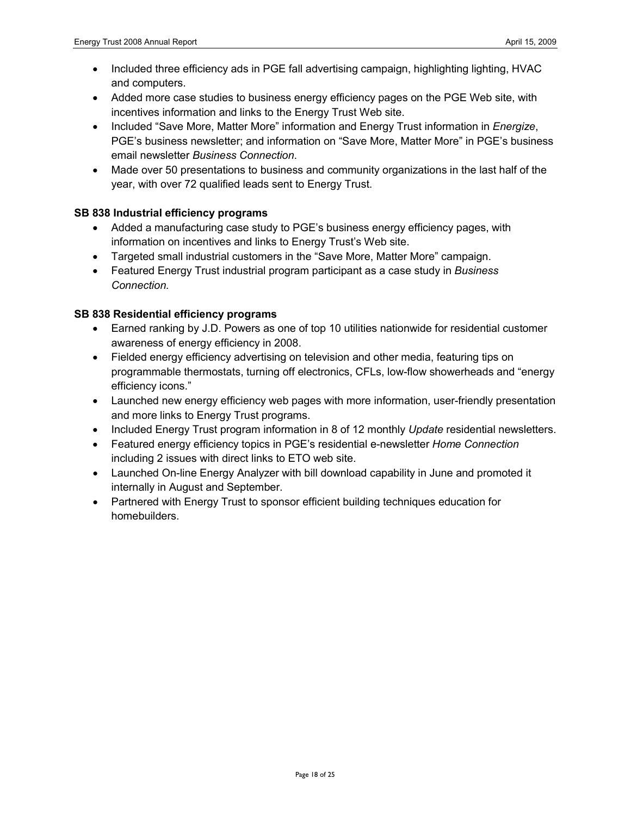- Included three efficiency ads in PGE fall advertising campaign, highlighting lighting, HVAC and computers.
- Added more case studies to business energy efficiency pages on the PGE Web site, with incentives information and links to the Energy Trust Web site.
- Included "Save More, Matter More" information and Energy Trust information in *Energize*, PGE's business newsletter; and information on "Save More, Matter More" in PGE's business email newsletter *Business Connection*.
- Made over 50 presentations to business and community organizations in the last half of the year, with over 72 qualified leads sent to Energy Trust.

### **SB 838 Industrial efficiency programs**

- Added a manufacturing case study to PGE's business energy efficiency pages, with information on incentives and links to Energy Trust's Web site.
- Targeted small industrial customers in the "Save More, Matter More" campaign.
- Featured Energy Trust industrial program participant as a case study in *Business Connection.*

### **SB 838 Residential efficiency programs**

- Earned ranking by J.D. Powers as one of top 10 utilities nationwide for residential customer awareness of energy efficiency in 2008.
- Fielded energy efficiency advertising on television and other media, featuring tips on programmable thermostats, turning off electronics, CFLs, low-flow showerheads and "energy efficiency icons."
- Launched new energy efficiency web pages with more information, user-friendly presentation and more links to Energy Trust programs.
- Included Energy Trust program information in 8 of 12 monthly *Update* residential newsletters.
- Featured energy efficiency topics in PGE's residential e-newsletter *Home Connection*  including 2 issues with direct links to ETO web site.
- Launched On-line Energy Analyzer with bill download capability in June and promoted it internally in August and September.
- Partnered with Energy Trust to sponsor efficient building techniques education for homebuilders.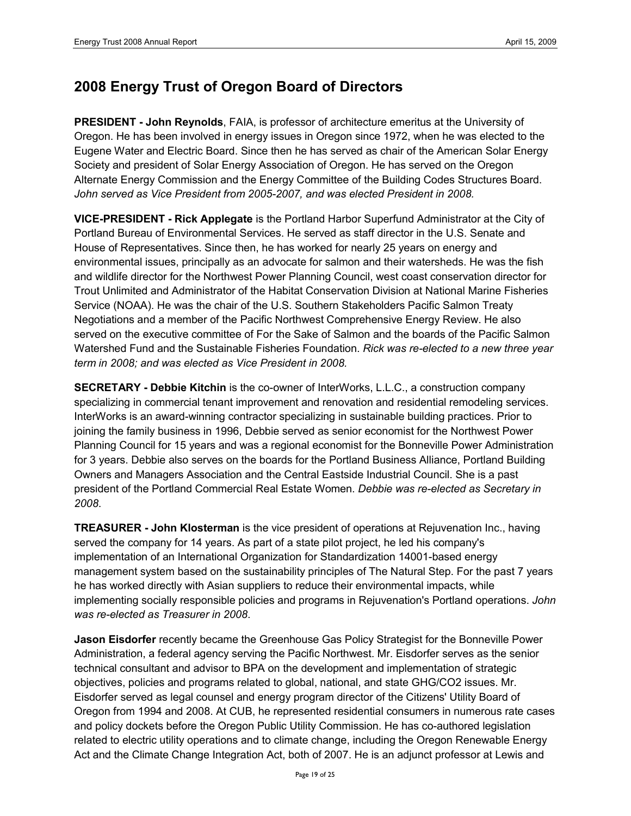## **2008 Energy Trust of Oregon Board of Directors**

**PRESIDENT - John Reynolds**, FAIA, is professor of architecture emeritus at the University of Oregon. He has been involved in energy issues in Oregon since 1972, when he was elected to the Eugene Water and Electric Board. Since then he has served as chair of the American Solar Energy Society and president of Solar Energy Association of Oregon. He has served on the Oregon Alternate Energy Commission and the Energy Committee of the Building Codes Structures Board. *John served as Vice President from 2005-2007, and was elected President in 2008.*

**VICE-PRESIDENT - Rick Applegate** is the Portland Harbor Superfund Administrator at the City of Portland Bureau of Environmental Services. He served as staff director in the U.S. Senate and House of Representatives. Since then, he has worked for nearly 25 years on energy and environmental issues, principally as an advocate for salmon and their watersheds. He was the fish and wildlife director for the Northwest Power Planning Council, west coast conservation director for Trout Unlimited and Administrator of the Habitat Conservation Division at National Marine Fisheries Service (NOAA). He was the chair of the U.S. Southern Stakeholders Pacific Salmon Treaty Negotiations and a member of the Pacific Northwest Comprehensive Energy Review. He also served on the executive committee of For the Sake of Salmon and the boards of the Pacific Salmon Watershed Fund and the Sustainable Fisheries Foundation. *Rick was re-elected to a new three year term in 2008; and was elected as Vice President in 2008.*

**SECRETARY - Debbie Kitchin** is the co-owner of InterWorks, L.L.C., a construction company specializing in commercial tenant improvement and renovation and residential remodeling services. InterWorks is an award-winning contractor specializing in sustainable building practices. Prior to joining the family business in 1996, Debbie served as senior economist for the Northwest Power Planning Council for 15 years and was a regional economist for the Bonneville Power Administration for 3 years. Debbie also serves on the boards for the Portland Business Alliance, Portland Building Owners and Managers Association and the Central Eastside Industrial Council. She is a past president of the Portland Commercial Real Estate Women. *Debbie was re-elected as Secretary in 2008*.

**TREASURER - John Klosterman** is the vice president of operations at Rejuvenation Inc., having served the company for 14 years. As part of a state pilot project, he led his company's implementation of an International Organization for Standardization 14001-based energy management system based on the sustainability principles of The Natural Step. For the past 7 years he has worked directly with Asian suppliers to reduce their environmental impacts, while implementing socially responsible policies and programs in Rejuvenation's Portland operations. *John was re-elected as Treasurer in 2008*.

**Jason Eisdorfer** recently became the Greenhouse Gas Policy Strategist for the Bonneville Power Administration, a federal agency serving the Pacific Northwest. Mr. Eisdorfer serves as the senior technical consultant and advisor to BPA on the development and implementation of strategic objectives, policies and programs related to global, national, and state GHG/CO2 issues. Mr. Eisdorfer served as legal counsel and energy program director of the Citizens' Utility Board of Oregon from 1994 and 2008. At CUB, he represented residential consumers in numerous rate cases and policy dockets before the Oregon Public Utility Commission. He has co-authored legislation related to electric utility operations and to climate change, including the Oregon Renewable Energy Act and the Climate Change Integration Act, both of 2007. He is an adjunct professor at Lewis and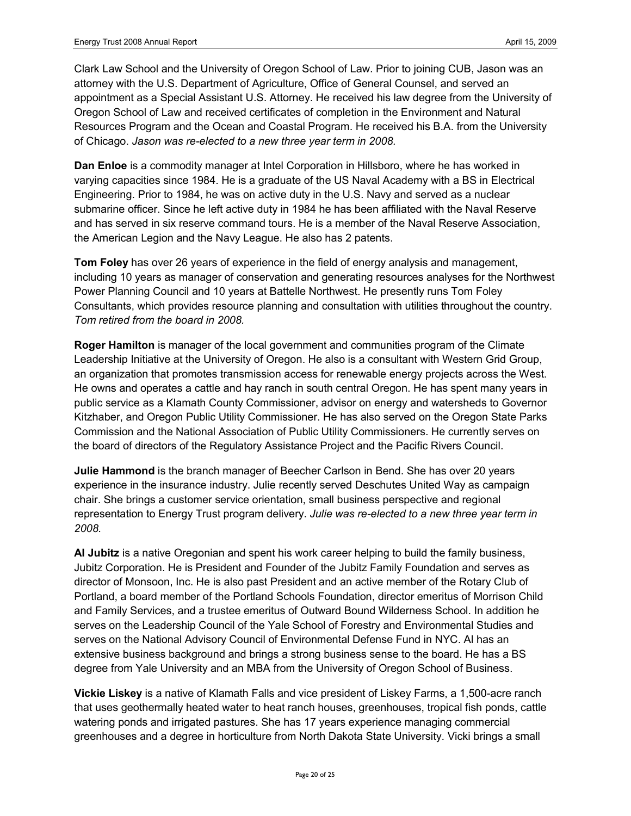Clark Law School and the University of Oregon School of Law. Prior to joining CUB, Jason was an attorney with the U.S. Department of Agriculture, Office of General Counsel, and served an appointment as a Special Assistant U.S. Attorney. He received his law degree from the University of Oregon School of Law and received certificates of completion in the Environment and Natural Resources Program and the Ocean and Coastal Program. He received his B.A. from the University of Chicago. *Jason was re-elected to a new three year term in 2008.*

**Dan Enloe** is a commodity manager at Intel Corporation in Hillsboro, where he has worked in varying capacities since 1984. He is a graduate of the US Naval Academy with a BS in Electrical Engineering. Prior to 1984, he was on active duty in the U.S. Navy and served as a nuclear submarine officer. Since he left active duty in 1984 he has been affiliated with the Naval Reserve and has served in six reserve command tours. He is a member of the Naval Reserve Association, the American Legion and the Navy League. He also has 2 patents.

**Tom Foley** has over 26 years of experience in the field of energy analysis and management, including 10 years as manager of conservation and generating resources analyses for the Northwest Power Planning Council and 10 years at Battelle Northwest. He presently runs Tom Foley Consultants, which provides resource planning and consultation with utilities throughout the country. *Tom retired from the board in 2008.*

**Roger Hamilton** is manager of the local government and communities program of the Climate Leadership Initiative at the University of Oregon. He also is a consultant with Western Grid Group, an organization that promotes transmission access for renewable energy projects across the West. He owns and operates a cattle and hay ranch in south central Oregon. He has spent many years in public service as a Klamath County Commissioner, advisor on energy and watersheds to Governor Kitzhaber, and Oregon Public Utility Commissioner. He has also served on the Oregon State Parks Commission and the National Association of Public Utility Commissioners. He currently serves on the board of directors of the Regulatory Assistance Project and the Pacific Rivers Council.

**Julie Hammond** is the branch manager of Beecher Carlson in Bend. She has over 20 years experience in the insurance industry. Julie recently served Deschutes United Way as campaign chair. She brings a customer service orientation, small business perspective and regional representation to Energy Trust program delivery. *Julie was re-elected to a new three year term in 2008.*

**Al Jubitz** is a native Oregonian and spent his work career helping to build the family business, Jubitz Corporation. He is President and Founder of the Jubitz Family Foundation and serves as director of Monsoon, Inc. He is also past President and an active member of the Rotary Club of Portland, a board member of the Portland Schools Foundation, director emeritus of Morrison Child and Family Services, and a trustee emeritus of Outward Bound Wilderness School. In addition he serves on the Leadership Council of the Yale School of Forestry and Environmental Studies and serves on the National Advisory Council of Environmental Defense Fund in NYC. Al has an extensive business background and brings a strong business sense to the board. He has a BS degree from Yale University and an MBA from the University of Oregon School of Business.

**Vickie Liskey** is a native of Klamath Falls and vice president of Liskey Farms, a 1,500-acre ranch that uses geothermally heated water to heat ranch houses, greenhouses, tropical fish ponds, cattle watering ponds and irrigated pastures. She has 17 years experience managing commercial greenhouses and a degree in horticulture from North Dakota State University. Vicki brings a small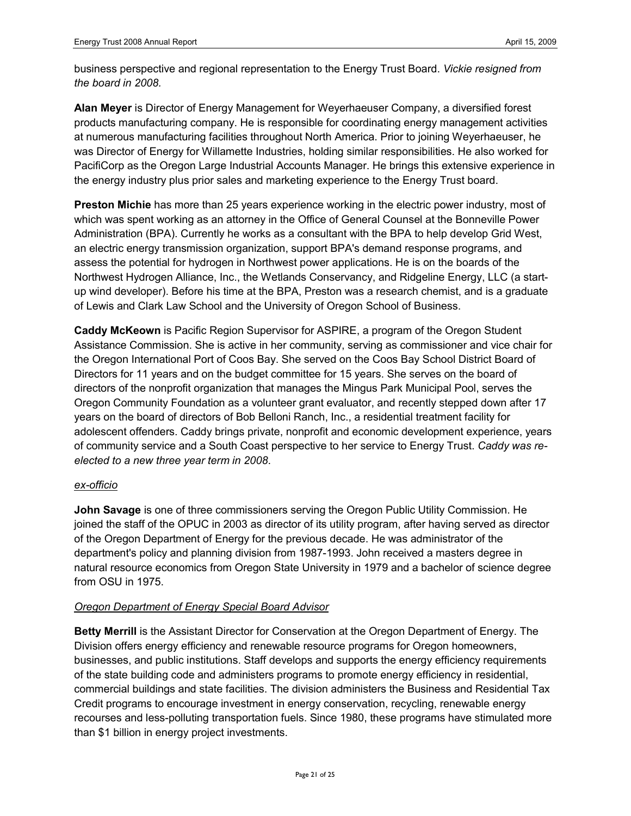business perspective and regional representation to the Energy Trust Board. *Vickie resigned from the board in 2008.*

**Alan Meyer** is Director of Energy Management for Weyerhaeuser Company, a diversified forest products manufacturing company. He is responsible for coordinating energy management activities at numerous manufacturing facilities throughout North America. Prior to joining Weyerhaeuser, he was Director of Energy for Willamette Industries, holding similar responsibilities. He also worked for PacifiCorp as the Oregon Large Industrial Accounts Manager. He brings this extensive experience in the energy industry plus prior sales and marketing experience to the Energy Trust board.

**Preston Michie** has more than 25 years experience working in the electric power industry, most of which was spent working as an attorney in the Office of General Counsel at the Bonneville Power Administration (BPA). Currently he works as a consultant with the BPA to help develop Grid West, an electric energy transmission organization, support BPA's demand response programs, and assess the potential for hydrogen in Northwest power applications. He is on the boards of the Northwest Hydrogen Alliance, Inc., the Wetlands Conservancy, and Ridgeline Energy, LLC (a startup wind developer). Before his time at the BPA, Preston was a research chemist, and is a graduate of Lewis and Clark Law School and the University of Oregon School of Business.

**Caddy McKeown** is Pacific Region Supervisor for ASPIRE, a program of the Oregon Student Assistance Commission. She is active in her community, serving as commissioner and vice chair for the Oregon International Port of Coos Bay. She served on the Coos Bay School District Board of Directors for 11 years and on the budget committee for 15 years. She serves on the board of directors of the nonprofit organization that manages the Mingus Park Municipal Pool, serves the Oregon Community Foundation as a volunteer grant evaluator, and recently stepped down after 17 years on the board of directors of Bob Belloni Ranch, Inc., a residential treatment facility for adolescent offenders. Caddy brings private, nonprofit and economic development experience, years of community service and a South Coast perspective to her service to Energy Trust. *Caddy was reelected to a new three year term in 2008*.

### *ex-officio*

**John Savage** is one of three commissioners serving the Oregon Public Utility Commission. He joined the staff of the OPUC in 2003 as director of its utility program, after having served as director of the Oregon Department of Energy for the previous decade. He was administrator of the department's policy and planning division from 1987-1993. John received a masters degree in natural resource economics from Oregon State University in 1979 and a bachelor of science degree from OSU in 1975.

### *Oregon Department of Energy Special Board Advisor*

**Betty Merrill** is the Assistant Director for Conservation at the Oregon Department of Energy. The Division offers energy efficiency and renewable resource programs for Oregon homeowners, businesses, and public institutions. Staff develops and supports the energy efficiency requirements of the state building code and administers programs to promote energy efficiency in residential, commercial buildings and state facilities. The division administers the Business and Residential Tax Credit programs to encourage investment in energy conservation, recycling, renewable energy recourses and less-polluting transportation fuels. Since 1980, these programs have stimulated more than \$1 billion in energy project investments.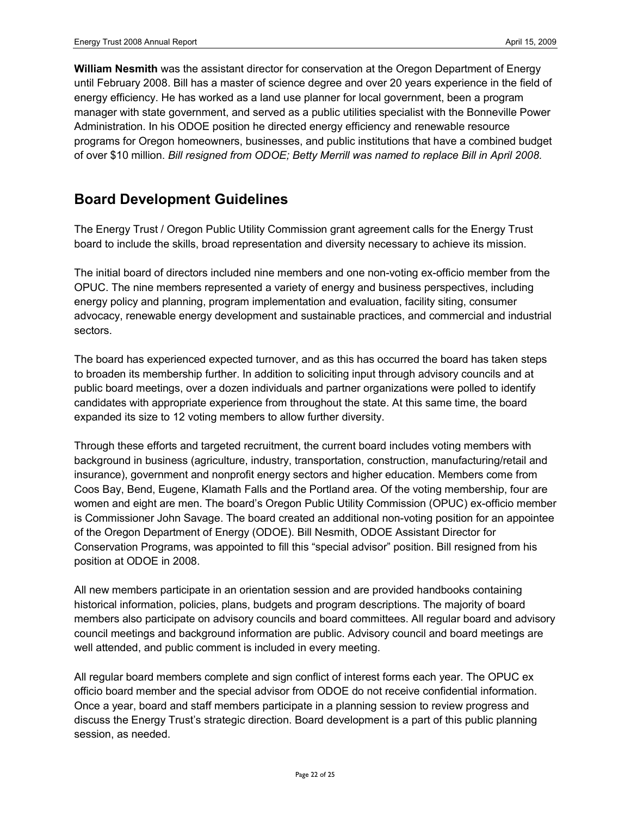**William Nesmith** was the assistant director for conservation at the Oregon Department of Energy until February 2008. Bill has a master of science degree and over 20 years experience in the field of energy efficiency. He has worked as a land use planner for local government, been a program manager with state government, and served as a public utilities specialist with the Bonneville Power Administration. In his ODOE position he directed energy efficiency and renewable resource programs for Oregon homeowners, businesses, and public institutions that have a combined budget of over \$10 million. *Bill resigned from ODOE; Betty Merrill was named to replace Bill in April 2008.* 

### **Board Development Guidelines**

The Energy Trust / Oregon Public Utility Commission grant agreement calls for the Energy Trust board to include the skills, broad representation and diversity necessary to achieve its mission.

The initial board of directors included nine members and one non-voting ex-officio member from the OPUC. The nine members represented a variety of energy and business perspectives, including energy policy and planning, program implementation and evaluation, facility siting, consumer advocacy, renewable energy development and sustainable practices, and commercial and industrial sectors.

The board has experienced expected turnover, and as this has occurred the board has taken steps to broaden its membership further. In addition to soliciting input through advisory councils and at public board meetings, over a dozen individuals and partner organizations were polled to identify candidates with appropriate experience from throughout the state. At this same time, the board expanded its size to 12 voting members to allow further diversity.

Through these efforts and targeted recruitment, the current board includes voting members with background in business (agriculture, industry, transportation, construction, manufacturing/retail and insurance), government and nonprofit energy sectors and higher education. Members come from Coos Bay, Bend, Eugene, Klamath Falls and the Portland area. Of the voting membership, four are women and eight are men. The board's Oregon Public Utility Commission (OPUC) ex-officio member is Commissioner John Savage. The board created an additional non-voting position for an appointee of the Oregon Department of Energy (ODOE). Bill Nesmith, ODOE Assistant Director for Conservation Programs, was appointed to fill this "special advisor" position. Bill resigned from his position at ODOE in 2008.

All new members participate in an orientation session and are provided handbooks containing historical information, policies, plans, budgets and program descriptions. The majority of board members also participate on advisory councils and board committees. All regular board and advisory council meetings and background information are public. Advisory council and board meetings are well attended, and public comment is included in every meeting.

All regular board members complete and sign conflict of interest forms each year. The OPUC ex officio board member and the special advisor from ODOE do not receive confidential information. Once a year, board and staff members participate in a planning session to review progress and discuss the Energy Trust's strategic direction. Board development is a part of this public planning session, as needed.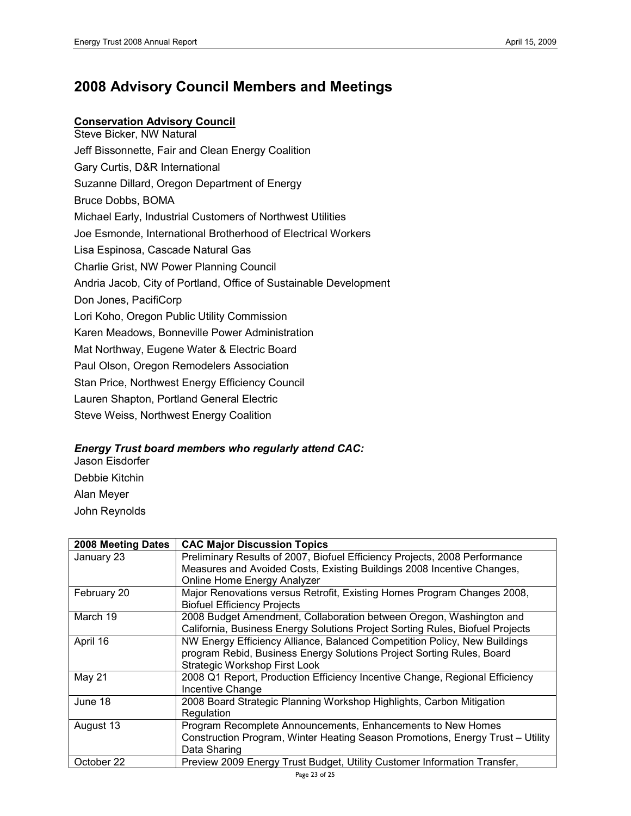## **2008 Advisory Council Members and Meetings**

### **Conservation Advisory Council**

Steve Bicker, NW Natural Jeff Bissonnette, Fair and Clean Energy Coalition Gary Curtis, D&R International Suzanne Dillard, Oregon Department of Energy Bruce Dobbs, BOMA Michael Early, Industrial Customers of Northwest Utilities Joe Esmonde, International Brotherhood of Electrical Workers Lisa Espinosa, Cascade Natural Gas Charlie Grist, NW Power Planning Council Andria Jacob, City of Portland, Office of Sustainable Development Don Jones, PacifiCorp Lori Koho, Oregon Public Utility Commission Karen Meadows, Bonneville Power Administration Mat Northway, Eugene Water & Electric Board Paul Olson, Oregon Remodelers Association Stan Price, Northwest Energy Efficiency Council Lauren Shapton, Portland General Electric Steve Weiss, Northwest Energy Coalition

### *Energy Trust board members who regularly attend CAC:*

Jason Eisdorfer Debbie Kitchin Alan Meyer John Reynolds

| 2008 Meeting Dates | <b>CAC Major Discussion Topics</b>                                             |
|--------------------|--------------------------------------------------------------------------------|
| January 23         | Preliminary Results of 2007, Biofuel Efficiency Projects, 2008 Performance     |
|                    | Measures and Avoided Costs, Existing Buildings 2008 Incentive Changes,         |
|                    | Online Home Energy Analyzer                                                    |
| February 20        | Major Renovations versus Retrofit, Existing Homes Program Changes 2008,        |
|                    | <b>Biofuel Efficiency Projects</b>                                             |
| March 19           | 2008 Budget Amendment, Collaboration between Oregon, Washington and            |
|                    | California, Business Energy Solutions Project Sorting Rules, Biofuel Projects  |
| April 16           | NW Energy Efficiency Alliance, Balanced Competition Policy, New Buildings      |
|                    | program Rebid, Business Energy Solutions Project Sorting Rules, Board          |
|                    | <b>Strategic Workshop First Look</b>                                           |
| May 21             | 2008 Q1 Report, Production Efficiency Incentive Change, Regional Efficiency    |
|                    | Incentive Change                                                               |
| June 18            | 2008 Board Strategic Planning Workshop Highlights, Carbon Mitigation           |
|                    | Regulation                                                                     |
| August 13          | Program Recomplete Announcements, Enhancements to New Homes                    |
|                    | Construction Program, Winter Heating Season Promotions, Energy Trust - Utility |
|                    | Data Sharing                                                                   |
| October 22         | Preview 2009 Energy Trust Budget, Utility Customer Information Transfer,       |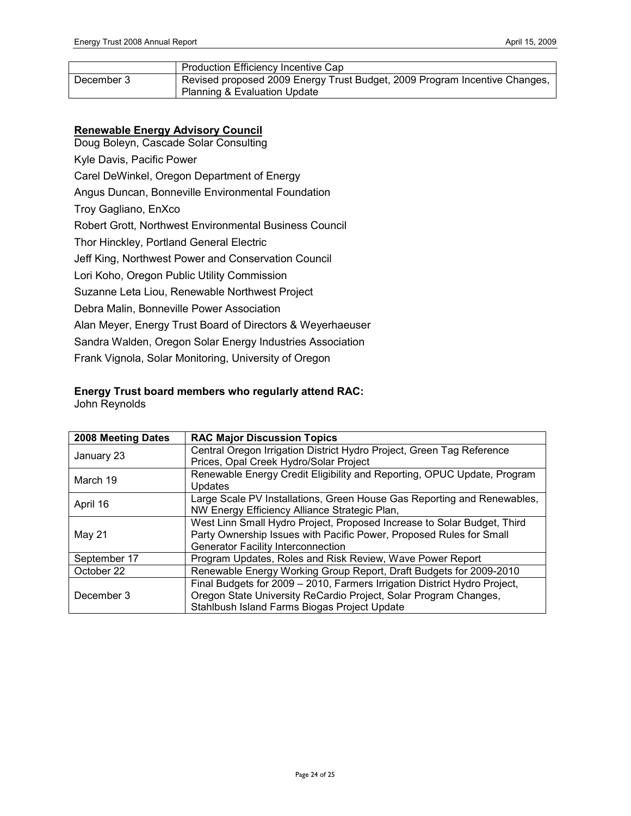|            | Production Efficiency Incentive Cap                                        |
|------------|----------------------------------------------------------------------------|
| December 3 | Revised proposed 2009 Energy Trust Budget, 2009 Program Incentive Changes, |
|            | Planning & Evaluation Update                                               |

### **Renewable Energy Advisory Council**

Doug Boleyn, Cascade Solar Consulting Kyle Davis, Pacific Power Carel DeWinkel, Oregon Department of Energy Angus Duncan, Bonneville Environmental Foundation Troy Gagliano, EnXco Robert Grott, Northwest Environmental Business Council Thor Hinckley, Portland General Electric Jeff King, Northwest Power and Conservation Council Lori Koho, Oregon Public Utility Commission Suzanne Leta Liou, Renewable Northwest Project Debra Malin, Bonneville Power Association Alan Meyer, Energy Trust Board of Directors & Weyerhaeuser Sandra Walden, Oregon Solar Energy Industries Association Frank Vignola, Solar Monitoring, University of Oregon

# **Energy Trust board members who regularly attend RAC:**

John Reynolds

| 2008 Meeting Dates | <b>RAC Major Discussion Topics</b>                                        |
|--------------------|---------------------------------------------------------------------------|
| January 23         | Central Oregon Irrigation District Hydro Project, Green Tag Reference     |
|                    | Prices, Opal Creek Hydro/Solar Project                                    |
| March 19           | Renewable Energy Credit Eligibility and Reporting, OPUC Update, Program   |
|                    | <b>Updates</b>                                                            |
| April 16           | Large Scale PV Installations, Green House Gas Reporting and Renewables,   |
|                    | NW Energy Efficiency Alliance Strategic Plan,                             |
|                    | West Linn Small Hydro Project, Proposed Increase to Solar Budget, Third   |
| May 21             | Party Ownership Issues with Pacific Power, Proposed Rules for Small       |
|                    | <b>Generator Facility Interconnection</b>                                 |
| September 17       | Program Updates, Roles and Risk Review, Wave Power Report                 |
| October 22         | Renewable Energy Working Group Report, Draft Budgets for 2009-2010        |
|                    | Final Budgets for 2009 - 2010, Farmers Irrigation District Hydro Project, |
| December 3         | Oregon State University ReCardio Project, Solar Program Changes,          |
|                    | Stahlbush Island Farms Biogas Project Update                              |